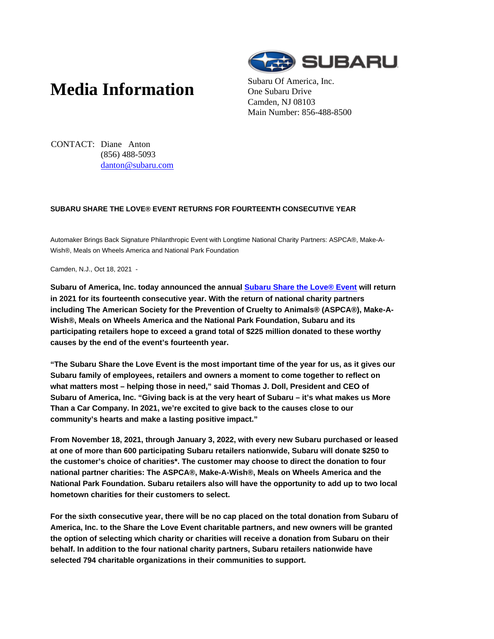# **Media Information** Subaru Of America, Inc.



One Subaru Drive Camden, NJ 08103 Main Number: 856-488-8500

CONTACT: Diane Anton (856) 488-5093 danton@subaru.com

## **SUBARU SHARE THE LOVE® EVENT RETURNS FOR FOURTEENTH CONSECUTIVE YEAR**

Automaker Brings Back Signature Philanthropic Event with Longtime National Charity Partners: ASPCA®, Make-A-Wish®, Meals on Wheels America and National Park Foundation

Camden, N.J., Oct 18, 2021 -

**Subaru of America, Inc. today announced the annual Subaru Share the Love® Event will return in 2021 for its fourteenth consecutive year. With the return of national charity partners including The American Society for the Prevention of Cruelty to Animals® (ASPCA®), Make-A-Wish®, Meals on Wheels America and the National Park Foundation, Subaru and its participating retailers hope to exceed a grand total of \$225 million donated to these worthy causes by the end of the event's fourteenth year.**

**"The Subaru Share the Love Event is the most important time of the year for us, as it gives our Subaru family of employees, retailers and owners a moment to come together to reflect on what matters most – helping those in need," said Thomas J. Doll, President and CEO of Subaru of America, Inc. "Giving back is at the very heart of Subaru – it's what makes us More Than a Car Company. In 2021, we're excited to give back to the causes close to our community's hearts and make a lasting positive impact."**

**From November 18, 2021, through January 3, 2022, with every new Subaru purchased or leased at one of more than 600 participating Subaru retailers nationwide, Subaru will donate \$250 to the customer's choice of charities\*. The customer may choose to direct the donation to four national partner charities: The ASPCA®, Make-A-Wish®, Meals on Wheels America and the National Park Foundation. Subaru retailers also will have the opportunity to add up to two local hometown charities for their customers to select.**

**For the sixth consecutive year, there will be no cap placed on the total donation from Subaru of America, Inc. to the Share the Love Event charitable partners, and new owners will be granted the option of selecting which charity or charities will receive a donation from Subaru on their behalf. In addition to the four national charity partners, Subaru retailers nationwide have selected 794 charitable organizations in their communities to support.**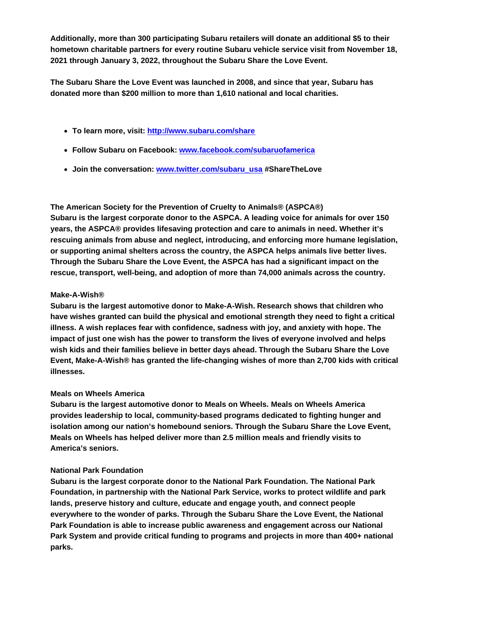**Additionally, more than 300 participating Subaru retailers will donate an additional \$5 to their hometown charitable partners for every routine Subaru vehicle service visit from November 18, 2021 through January 3, 2022, throughout the Subaru Share the Love Event.**

**The Subaru Share the Love Event was launched in 2008, and since that year, Subaru has donated more than \$200 million to more than 1,610 national and local charities.**

- **To learn more, visit: http://www.subaru.com/share**
- **Follow Subaru on Facebook: www.facebook.com/subaruofamerica**
- **Join the conversation: www.twitter.com/subaru\_usa #ShareTheLove**

## **The American Society for the Prevention of Cruelty to Animals® (ASPCA®)**

**Subaru is the largest corporate donor to the ASPCA. A leading voice for animals for over 150 years, the ASPCA® provides lifesaving protection and care to animals in need. Whether it's rescuing animals from abuse and neglect, introducing, and enforcing more humane legislation, or supporting animal shelters across the country, the ASPCA helps animals live better lives. Through the Subaru Share the Love Event, the ASPCA has had a significant impact on the rescue, transport, well-being, and adoption of more than 74,000 animals across the country.**

## **Make-A-Wish®**

**Subaru is the largest automotive donor to Make-A-Wish. Research shows that children who have wishes granted can build the physical and emotional strength they need to fight a critical illness. A wish replaces fear with confidence, sadness with joy, and anxiety with hope. The impact of just one wish has the power to transform the lives of everyone involved and helps wish kids and their families believe in better days ahead. Through the Subaru Share the Love Event, Make-A-Wish® has granted the life-changing wishes of more than 2,700 kids with critical illnesses.**

## **Meals on Wheels America**

**Subaru is the largest automotive donor to Meals on Wheels. Meals on Wheels America provides leadership to local, community-based programs dedicated to fighting hunger and isolation among our nation's homebound seniors. Through the Subaru Share the Love Event, Meals on Wheels has helped deliver more than 2.5 million meals and friendly visits to America's seniors.**

## **National Park Foundation**

**Subaru is the largest corporate donor to the National Park Foundation. The National Park Foundation, in partnership with the National Park Service, works to protect wildlife and park lands, preserve history and culture, educate and engage youth, and connect people everywhere to the wonder of parks. Through the Subaru Share the Love Event, the National Park Foundation is able to increase public awareness and engagement across our National Park System and provide critical funding to programs and projects in more than 400+ national parks.**